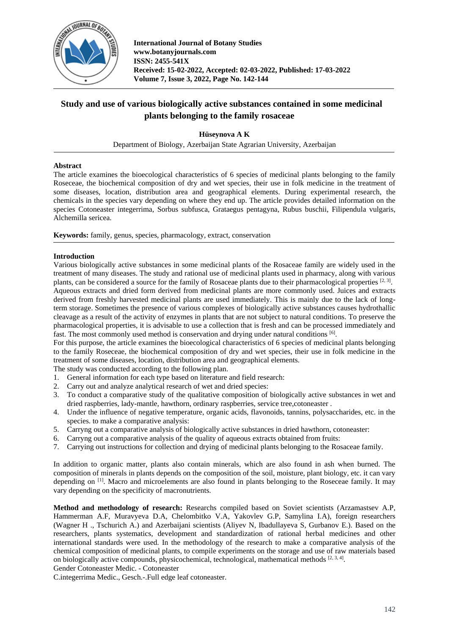

# **Study and use of various biologically active substances contained in some medicinal plants belonging to the family rosaceae**

**Hüseynova A K**

Department of Biology, Azerbaijan State Agrarian University, Azerbaijan

### **Abstract**

The article examines the bioecological characteristics of 6 species of medicinal plants belonging to the family Roseceae, the biochemical composition of dry and wet species, their use in folk medicine in the treatment of some diseases, location, distribution area and geographical elements. During experimental research, the chemicals in the species vary depending on where they end up. The article provides detailed information on the species Cotoneaster integerrima, Sorbus subfusca, Grataegus pentagyna, Rubus buschii, Filipendula vulgaris, Alchemilla sericea.

**Keywords:** family, genus, species, pharmacology, extract, conservation

## **Introduction**

Various biologically active substances in some medicinal plants of the Rosaceae family are widely used in the treatment of many diseases. The study and rational use of medicinal plants used in pharmacy, along with various plants, can be considered a source for the family of Rosaceae plants due to their pharmacological properties [2, 3].

Aqueous extracts and dried form derived from medicinal plants are more commonly used. Juices and extracts derived from freshly harvested medicinal plants are used immediately. This is mainly due to the lack of longterm storage. Sometimes the presence of various complexes of biologically active substances causes hydrothallic cleavage as a result of the activity of enzymes in plants that are not subject to natural conditions. To preserve the pharmacological properties, it is advisable to use a collection that is fresh and can be processed immediately and fast. The most commonly used method is conservation and drying under natural conditions [6].

For this purpose, the article examines the bioecological characteristics of 6 species of medicinal plants belonging to the family Roseceae, the biochemical composition of dry and wet species, their use in folk medicine in the treatment of some diseases, location, distribution area and geographical elements.

The study was conducted according to the following plan.

- 1. General information for each type based on literature and field research:
- 2. Carry out and analyze analytical research of wet and dried species:
- 3. To conduct a comparative study of the qualitative composition of biologically active substances in wet and dried raspberries, lady-mantle, hawthorn, ordinary raspberries, service tree,cotoneaster .
- 4. Under the influence of negative temperature, organic acids, flavonoids, tannins, polysaccharides, etc. in the species. to make a comparative analysis:
- 5. Carryng out a comparative analysis of biologically active substances in dried hawthorn, cotoneaster:
- 6. Carryng out a comparative analysis of the quality of aqueous extracts obtained from fruits:
- 7. Carrying out instructions for collection and drying of medicinal plants belonging to the Rosaceae family.

In addition to organic matter, plants also contain minerals, which are also found in ash when burned. The composition of minerals in plants depends on the composition of the soil, moisture, plant biology, etc. it can vary depending on [1]. Macro and microelements are also found in plants belonging to the Roseceae family. It may vary depending on the specificity of macronutrients.

**Method and methodology of research:** Researchs compiled based on Soviet scientists (Arzamastsev A.P, Hammerman A.F, Muravyeva D.A, Chelombitko V.A, Yakovlev G.P, Samylina I.A), foreign researchers (Wagner H ., Tschurich A.) and Azerbaijani scientists (Aliyev N, Ibadullayeva S, Gurbanov E.). Based on the researchers, plants systematics, development and standardization of rational herbal medicines and other international standards were used. In the methodology of the research to make a comparative analysis of the chemical composition of medicinal plants, to compile experiments on the storage and use of raw materials based on biologically active compounds, physicochemical, technological, mathematical methods  $[2, 3, 4]$ .

Gender Cotoneaster Medic. - Cotoneaster

C.integerrima Medic., Gesch.-.Full edge leaf cotoneaster.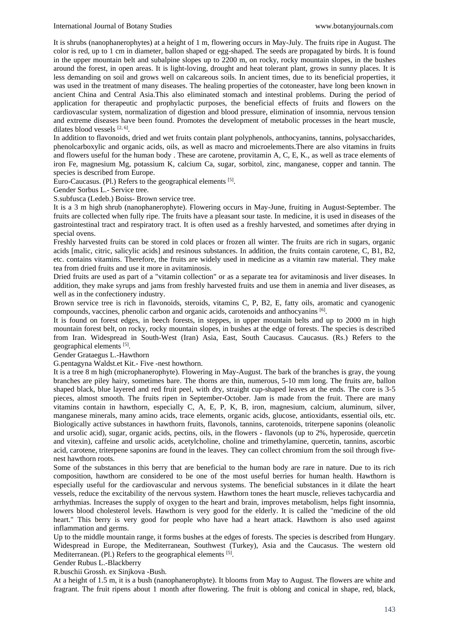It is shrubs (nanophanerophytes) at a height of 1 m, flowering occurs in May-July. The fruits ripe in August. The color is red, up to 1 cm in diameter, ballon shaped or egg-shaped. The seeds are propagated by birds. It is found in the upper mountain belt and subalpine slopes up to 2200 m, on rocky, rocky mountain slopes, in the bushes around the forest, in open areas. It is light-loving, drought and heat tolerant plant, grows in sunny places. It is less demanding on soil and grows well on calcareous soils. In ancient times, due to its beneficial properties, it was used in the treatment of many diseases. The healing properties of the cotoneaster, have long been known in ancient China and Central Asia.This also eliminated stomach and intestinal problems. During the period of application for therapeutic and prophylactic purposes, the beneficial effects of fruits and flowers on the cardiovascular system, normalization of digestion and blood pressure, elimination of insomnia, nervous tension and extreme diseases have been found. Promotes the development of metabolic processes in the heart muscle, dilates blood vessels [2, 6].

In addition to flavonoids, dried and wet fruits contain plant polyphenols, anthocyanins, tannins, polysaccharides, phenolcarboxylic and organic acids, oils, as well as macro and microelements.There are also vitamins in fruits and flowers useful for the human body . These are carotene, provitamin A, C, E, K., as well as trace elements of iron Fe, magnesium Mg, potassium K, calcium Ca, sugar, sorbitol, zinc, manganese, copper and tannin. The species is described from Europe.

Euro-Caucasus. (Pl.) Refers to the geographical elements [5].

Gender Sorbus L.- Service tree.

S.subfusca (Ledeb.) Boiss- Brown service tree.

It is a 3 m high shrub (nanophanerophyte). Flowering occurs in May-June, fruiting in August-September. The fruits are collected when fully ripe. The fruits have a pleasant sour taste. In medicine, it is used in diseases of the gastrointestinal tract and respiratory tract. It is often used as a freshly harvested, and sometimes after drying in special ovens.

Freshly harvested fruits can be stored in cold places or frozen all winter. The fruits are rich in sugars, organic acids [malic, citric, salicylic acids] and resinous substances. In addition, the fruits contain carotene, C, B1, B2, etc. contains vitamins. Therefore, the fruits are widely used in medicine as a vitamin raw material. They make tea from dried fruits and use it more in avitaminosis.

Dried fruits are used as part of a "vitamin collection" or as a separate tea for avitaminosis and liver diseases. In addition, they make syrups and jams from freshly harvested fruits and use them in anemia and liver diseases, as well as in the confectionery industry.

Brown service tree is rich in flavonoids, steroids, vitamins C, P, B2, E, fatty oils, aromatic and cyanogenic compounds, vaccines, phenolic carbon and organic acids, carotenoids and anthocyanins [6].

It is found on forest edges, in beech forests, in steppes, in upper mountain belts and up to 2000 m in high mountain forest belt, on rocky, rocky mountain slopes, in bushes at the edge of forests. The species is described from Iran. Widespread in South-West (Iran) Asia, East, South Caucasus. Caucasus. (Rs.) Refers to the geographical elements [5].

Gender Grataegus L.-Hawthorn

G.pentagyna Waldst.et Kit.- Five -nest howthorn.

It is a tree 8 m high (microphanerophyte). Flowering in May-August. The bark of the branches is gray, the young branches are piley hairy, sometimes bare. The thorns are thin, numerous, 5-10 mm long. The fruits are, ballon shaped black, blue layered and red fruit peel, with dry, straight cup-shaped leaves at the ends. The core is 3-5 pieces, almost smooth. The fruits ripen in September-October. Jam is made from the fruit. There are many vitamins contain in hawthorn, especially C, A, E, P, K, B, iron, magnesium, calcium, aluminum, silver, manganese minerals, many amino acids, trace elements, organic acids, glucose, antioxidants, essential oils, etc. Biologically active substances in hawthorn fruits, flavonols, tannins, carotenoids, triterpene saponins (oleanolic and ursolic acid), sugar, organic acids, pectins, oils, in the flowers - flavonols (up to 2%, hyperoside, quercetin and vitexin), caffeine and ursolic acids, acetylcholine, choline and trimethylamine, quercetin, tannins, ascorbic acid, carotene, triterpene saponins are found in the leaves. They can collect chromium from the soil through fivenest hawthorn roots.

Some of the substances in this berry that are beneficial to the human body are rare in nature. Due to its rich composition, hawthorn are considered to be one of the most useful berries for human health. Hawthorn is especially useful for the cardiovascular and nervous systems. The beneficial substances in it dilate the heart vessels, reduce the excitability of the nervous system. Hawthorn tones the heart muscle, relieves tachycardia and arrhythmias. Increases the supply of oxygen to the heart and brain, improves metabolism, helps fight insomnia, lowers blood cholesterol levels. Hawthorn is very good for the elderly. It is called the "medicine of the old heart." This berry is very good for people who have had a heart attack. Hawthorn is also used against inflammation and germs.

Up to the middle mountain range, it forms bushes at the edges of forests. The species is described from Hungary. Widespread in Europe, the Mediterranean, Southwest (Turkey), Asia and the Caucasus. The western old Mediterranean. (Pl.) Refers to the geographical elements [5].

Gender Rubus L.-Blackberry

R.buschii Grossh. ex Sinjkova -Bush.

At a height of 1.5 m, it is a bush (nanophanerophyte). It blooms from May to August. The flowers are white and fragrant. The fruit ripens about 1 month after flowering. The fruit is oblong and conical in shape, red, black,